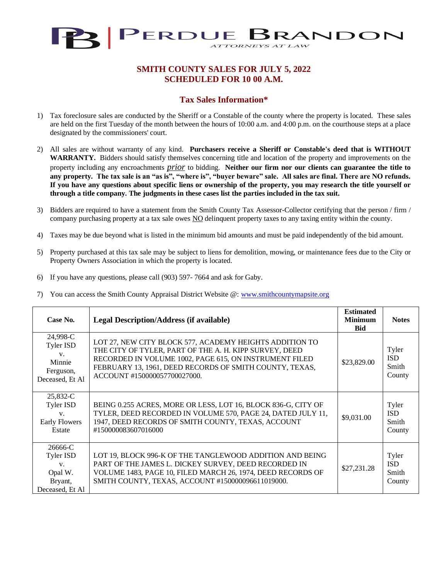

## **SMITH COUNTY SALES FOR JULY 5, 2022 SCHEDULED FOR 10 00 A.M.**

## **Tax Sales Information\***

- 1) Tax foreclosure sales are conducted by the Sheriff or a Constable of the county where the property is located. These sales are held on the first Tuesday of the month between the hours of 10:00 a.m. and 4:00 p.m. on the courthouse steps at a place designated by the commissioners' court.
- 2) All sales are without warranty of any kind. **Purchasers receive a Sheriff or Constable's deed that is WITHOUT WARRANTY.** Bidders should satisfy themselves concerning title and location of the property and improvements on the property including any encroachments *prior* to bidding. **Neither our firm nor our clients can guarantee the title to any property. The tax sale is an "as is", "where is", "buyer beware" sale. All sales are final. There are NO refunds. If you have any questions about specific liens or ownership of the property, you may research the title yourself or through a title company. The judgments in these cases list the parties included in the tax suit.**
- 3) Bidders are required to have a statement from the Smith County Tax Assessor-Collector certifying that the person / firm / company purchasing property at a tax sale owes NO delinquent property taxes to any taxing entity within the county.
- 4) Taxes may be due beyond what is listed in the minimum bid amounts and must be paid independently of the bid amount.
- 5) Property purchased at this tax sale may be subject to liens for demolition, mowing, or maintenance fees due to the City or Property Owners Association in which the property is located.
- 6) If you have any questions, please call (903) 597- 7664 and ask for Gaby.
- 7) You can access the Smith County Appraisal District Website @: [www.smithcountymapsite.org](http://www.smithcountymapsite.org/)

| Case No.                                                              | <b>Legal Description/Address (if available)</b>                                                                                                                                                                                                                        | <b>Estimated</b><br><b>Minimum</b><br><b>Bid</b> | <b>Notes</b>                           |
|-----------------------------------------------------------------------|------------------------------------------------------------------------------------------------------------------------------------------------------------------------------------------------------------------------------------------------------------------------|--------------------------------------------------|----------------------------------------|
| 24,998-C<br>Tyler ISD<br>V.<br>Minnie<br>Ferguson,<br>Deceased, Et Al | LOT 27, NEW CITY BLOCK 577, ACADEMY HEIGHTS ADDITION TO<br>THE CITY OF TYLER, PART OF THE A. H. KIPP SURVEY, DEED<br>RECORDED IN VOLUME 1002, PAGE 615, ON INSTRUMENT FILED<br>FEBRUARY 13, 1961, DEED RECORDS OF SMITH COUNTY, TEXAS,<br>ACCOUNT #150000057700027000. | \$23,829.00                                      | Tyler<br><b>ISD</b><br>Smith<br>County |
| 25,832-C<br>Tyler ISD<br>V.<br><b>Early Flowers</b><br>Estate         | BEING 0.255 ACRES, MORE OR LESS, LOT 16, BLOCK 836-G, CITY OF<br>TYLER, DEED RECORDED IN VOLUME 570, PAGE 24, DATED JULY 11,<br>1947, DEED RECORDS OF SMITH COUNTY, TEXAS, ACCOUNT<br>#150000083607016000                                                              | \$9,031.00                                       | Tyler<br><b>ISD</b><br>Smith<br>County |
| 26666-C<br>Tyler ISD<br>V.<br>Opal W.<br>Bryant,<br>Deceased, Et Al   | LOT 19, BLOCK 996-K OF THE TANGLEWOOD ADDITION AND BEING<br>PART OF THE JAMES L. DICKEY SURVEY, DEED RECORDED IN<br>VOLUME 1483, PAGE 10, FILED MARCH 26, 1974, DEED RECORDS OF<br>SMITH COUNTY, TEXAS, ACCOUNT #150000096611019000.                                   | \$27,231.28                                      | Tyler<br><b>ISD</b><br>Smith<br>County |